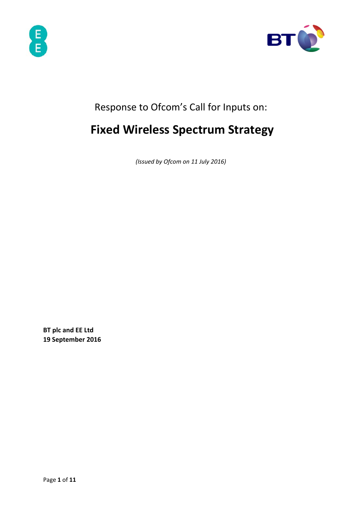



# Response to Ofcom's Call for Inputs on:

# **Fixed Wireless Spectrum Strategy**

*(Issued by Ofcom on 11 July 2016)* 

**BT plc and EE Ltd 19 September 2016**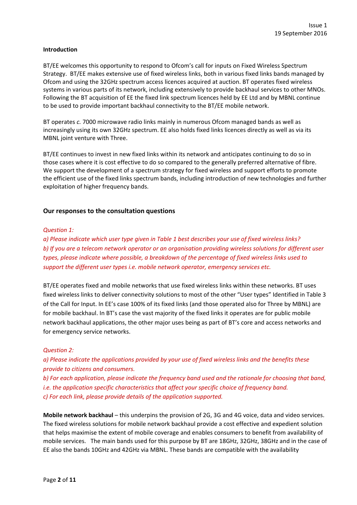#### **Introduction**

BT/EE welcomes this opportunity to respond to Ofcom's call for inputs on Fixed Wireless Spectrum Strategy. BT/EE makes extensive use of fixed wireless links, both in various fixed links bands managed by Ofcom and using the 32GHz spectrum access licences acquired at auction. BT operates fixed wireless systems in various parts of its network, including extensively to provide backhaul services to other MNOs. Following the BT acquisition of EE the fixed link spectrum licences held by EE Ltd and by MBNL continue to be used to provide important backhaul connectivity to the BT/EE mobile network.

BT operates *c.* 7000 microwave radio links mainly in numerous Ofcom managed bands as well as increasingly using its own 32GHz spectrum. EE also holds fixed links licences directly as well as via its MBNL joint venture with Three.

BT/EE continues to invest in new fixed links within its network and anticipates continuing to do so in those cases where it is cost effective to do so compared to the generally preferred alternative of fibre. We support the development of a spectrum strategy for fixed wireless and support efforts to promote the efficient use of the fixed links spectrum bands, including introduction of new technologies and further exploitation of higher frequency bands.

#### **Our responses to the consultation questions**

#### *Question 1:*

a) Please indicate which user type given in Table 1 best describes your use of fixed wireless links? b) If you are a telecom network operator or an organisation providing wireless solutions for different user *types, please indicate where possible, a breakdown of the percentage of fixed wireless links used to support the different user types i.e. mobile network operator, emergency services etc.* 

BT/EE operates fixed and mobile networks that use fixed wireless links within these networks. BT uses fixed wireless links to deliver connectivity solutions to most of the other "User types" Identified in Table 3 of the Call for Input. In EE's case 100% of its fixed links (and those operated also for Three by MBNL) are for mobile backhaul. In BT's case the vast majority of the fixed links it operates are for public mobile network backhaul applications, the other major uses being as part of BT's core and access networks and for emergency service networks.

#### *Question 2:*

*a) Please indicate the applications provided by your use of fixed wireless links and the benefits these provide to citizens and consumers.* 

b) For each application, please indicate the frequency band used and the rationale for choosing that band, *i.e. the application specific characteristics that affect your specific choice of frequency band. c) For each link, please provide details of the application supported.* 

**Mobile network backhaul** – this underpins the provision of 2G, 3G and 4G voice, data and video services. The fixed wireless solutions for mobile network backhaul provide a cost effective and expedient solution that helps maximise the extent of mobile coverage and enables consumers to benefit from availability of mobile services. The main bands used for this purpose by BT are 18GHz, 32GHz, 38GHz and in the case of EE also the bands 10GHz and 42GHz via MBNL. These bands are compatible with the availability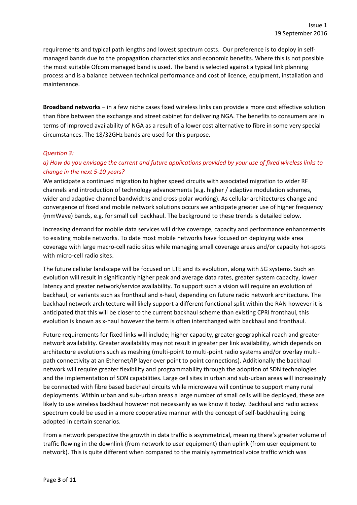requirements and typical path lengths and lowest spectrum costs. Our preference is to deploy in self‐ managed bands due to the propagation characteristics and economic benefits. Where this is not possible the most suitable Ofcom managed band is used. The band is selected against a typical link planning process and is a balance between technical performance and cost of licence, equipment, installation and maintenance.

**Broadband networks** – in a few niche cases fixed wireless links can provide a more cost effective solution than fibre between the exchange and street cabinet for delivering NGA. The benefits to consumers are in terms of improved availability of NGA as a result of a lower cost alternative to fibre in some very special circumstances. The 18/32GHz bands are used for this purpose.

#### *Question 3:*

# a) How do you envisage the current and future applications provided by your use of fixed wireless links to *change in the next 5‐10 years?*

We anticipate a continued migration to higher speed circuits with associated migration to wider RF channels and introduction of technology advancements (e.g. higher / adaptive modulation schemes, wider and adaptive channel bandwidths and cross-polar working). As cellular architectures change and convergence of fixed and mobile network solutions occurs we anticipate greater use of higher frequency (mmWave) bands, e.g. for small cell backhaul. The background to these trends is detailed below.

Increasing demand for mobile data services will drive coverage, capacity and performance enhancements to existing mobile networks. To date most mobile networks have focused on deploying wide area coverage with large macro‐cell radio sites while managing small coverage areas and/or capacity hot‐spots with micro-cell radio sites.

The future cellular landscape will be focused on LTE and its evolution, along with 5G systems. Such an evolution will result in significantly higher peak and average data rates, greater system capacity, lower latency and greater network/service availability. To support such a vision will require an evolution of backhaul, or variants such as fronthaul and x‐haul, depending on future radio network architecture. The backhaul network architecture will likely support a different functional split within the RAN however it is anticipated that this will be closer to the current backhaul scheme than existing CPRI fronthaul, this evolution is known as x‐haul however the term is often interchanged with backhaul and fronthaul.

Future requirements for fixed links will include; higher capacity, greater geographical reach and greater network availability. Greater availability may not result in greater per link availability, which depends on architecture evolutions such as meshing (multi‐point to multi‐point radio systems and/or overlay multi‐ path connectivity at an Ethernet/IP layer over point to point connections). Additionally the backhaul network will require greater flexibility and programmability through the adoption of SDN technologies and the implementation of SON capabilities. Large cell sites in urban and sub-urban areas will increasingly be connected with fibre based backhaul circuits while microwave will continue to support many rural deployments. Within urban and sub‐urban areas a large number of small cells will be deployed, these are likely to use wireless backhaul however not necessarily as we know it today. Backhaul and radio access spectrum could be used in a more cooperative manner with the concept of self-backhauling being adopted in certain scenarios.

From a network perspective the growth in data traffic is asymmetrical, meaning there's greater volume of traffic flowing in the downlink (from network to user equipment) than uplink (from user equipment to network). This is quite different when compared to the mainly symmetrical voice traffic which was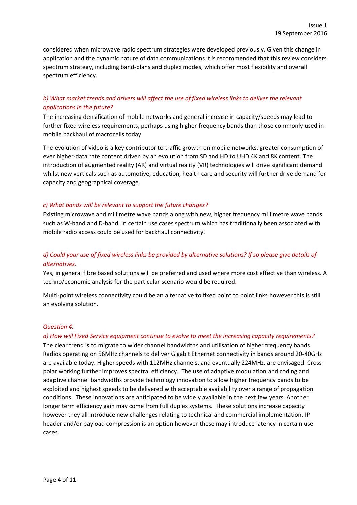considered when microwave radio spectrum strategies were developed previously. Given this change in application and the dynamic nature of data communications it is recommended that this review considers spectrum strategy, including band‐plans and duplex modes, which offer most flexibility and overall spectrum efficiency.

# b) What market trends and drivers will affect the use of fixed wireless links to deliver the relevant *applications in the future?*

The increasing densification of mobile networks and general increase in capacity/speeds may lead to further fixed wireless requirements, perhaps using higher frequency bands than those commonly used in mobile backhaul of macrocells today.

The evolution of video is a key contributor to traffic growth on mobile networks, greater consumption of ever higher-data rate content driven by an evolution from SD and HD to UHD 4K and 8K content. The introduction of augmented reality (AR) and virtual reality (VR) technologies will drive significant demand whilst new verticals such as automotive, education, health care and security will further drive demand for capacity and geographical coverage.

#### *c) What bands will be relevant to support the future changes?*

Existing microwave and millimetre wave bands along with new, higher frequency millimetre wave bands such as W‐band and D‐band. In certain use cases spectrum which has traditionally been associated with mobile radio access could be used for backhaul connectivity.

# d) Could your use of fixed wireless links be provided by alternative solutions? If so please give details of  $a$ *lternatives.*

Yes, in general fibre based solutions will be preferred and used where more cost effective than wireless. A techno/economic analysis for the particular scenario would be required.

Multi-point wireless connectivity could be an alternative to fixed point to point links however this is still an evolving solution.

#### *Question 4:*

#### *a) How will Fixed Service equipment continue to evolve to meet the increasing capacity requirements?*

The clear trend is to migrate to wider channel bandwidths and utilisation of higher frequency bands. Radios operating on 56MHz channels to deliver Gigabit Ethernet connectivity in bands around 20‐40GHz are available today. Higher speeds with 112MHz channels, and eventually 224MHz, are envisaged. Crosspolar working further improves spectral efficiency. The use of adaptive modulation and coding and adaptive channel bandwidths provide technology innovation to allow higher frequency bands to be exploited and highest speeds to be delivered with acceptable availability over a range of propagation conditions. These innovations are anticipated to be widely available in the next few years. Another longer term efficiency gain may come from full duplex systems. These solutions increase capacity however they all introduce new challenges relating to technical and commercial implementation. IP header and/or payload compression is an option however these may introduce latency in certain use cases.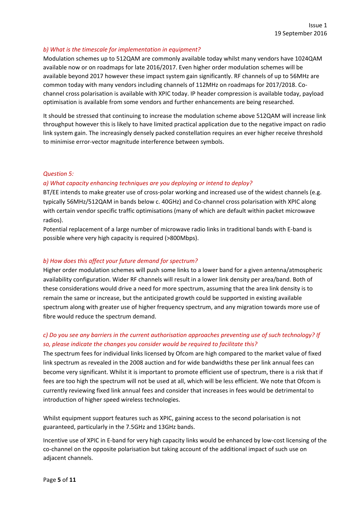#### *b) What is the timescale for implementation in equipment?*

Modulation schemes up to 512QAM are commonly available today whilst many vendors have 1024QAM available now or on roadmaps for late 2016/2017. Even higher order modulation schemes will be available beyond 2017 however these impact system gain significantly. RF channels of up to 56MHz are common today with many vendors including channels of 112MHz on roadmaps for 2017/2018. Co‐ channel cross polarisation is available with XPIC today. IP header compression is available today, payload optimisation is available from some vendors and further enhancements are being researched.

It should be stressed that continuing to increase the modulation scheme above 512QAM will increase link throughput however this is likely to have limited practical application due to the negative impact on radio link system gain. The increasingly densely packed constellation requires an ever higher receive threshold to minimise error‐vector magnitude interference between symbols.

#### *Question 5:*

#### *a) What capacity enhancing techniques are you deploying or intend to deploy?*

BT/EE intends to make greater use of cross-polar working and increased use of the widest channels (e.g. typically 56MHz/512QAM in bands below c. 40GHz) and Co‐channel cross polarisation with XPIC along with certain vendor specific traffic optimisations (many of which are default within packet microwave radios).

Potential replacement of a large number of microwave radio links in traditional bands with E‐band is possible where very high capacity is required (>800Mbps).

#### *b) How does this affect your future demand for spectrum?*

Higher order modulation schemes will push some links to a lower band for a given antenna/atmospheric availability configuration. Wider RF channels will result in a lower link density per area/band. Both of these considerations would drive a need for more spectrum, assuming that the area link density is to remain the same or increase, but the anticipated growth could be supported in existing available spectrum along with greater use of higher frequency spectrum, and any migration towards more use of fibre would reduce the spectrum demand.

# *c) Do you see any barriers in the current authorisation approaches preventing use of such technology? If so, please indicate the changes you consider would be required to facilitate this?*

The spectrum fees for individual links licensed by Ofcom are high compared to the market value of fixed link spectrum as revealed in the 2008 auction and for wide bandwidths these per link annual fees can become very significant. Whilst it is important to promote efficient use of spectrum, there is a risk that if fees are too high the spectrum will not be used at all, which will be less efficient. We note that Ofcom is currently reviewing fixed link annual fees and consider that increases in fees would be detrimental to introduction of higher speed wireless technologies.

Whilst equipment support features such as XPIC, gaining access to the second polarisation is not guaranteed, particularly in the 7.5GHz and 13GHz bands.

Incentive use of XPIC in E‐band for very high capacity links would be enhanced by low‐cost licensing of the co-channel on the opposite polarisation but taking account of the additional impact of such use on adjacent channels.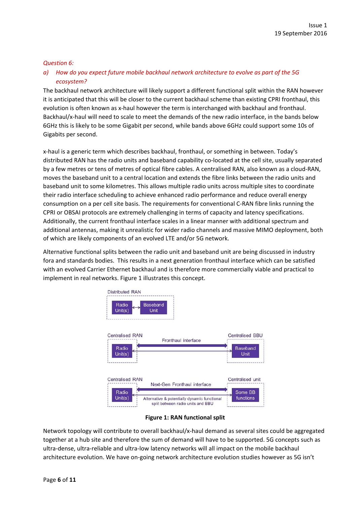#### *Question 6:*

# *a) How do you expect future mobile backhaul network architecture to evolve as part of the 5G ecosystem?*

The backhaul network architecture will likely support a different functional split within the RAN however it is anticipated that this will be closer to the current backhaul scheme than existing CPRI fronthaul, this evolution is often known as x‐haul however the term is interchanged with backhaul and fronthaul. Backhaul/x‐haul will need to scale to meet the demands of the new radio interface, in the bands below 6GHz this is likely to be some Gigabit per second, while bands above 6GHz could support some 10s of Gigabits per second.

x‐haul is a generic term which describes backhaul, fronthaul, or something in between. Today's distributed RAN has the radio units and baseband capability co-located at the cell site, usually separated by a few metres or tens of metres of optical fibre cables. A centralised RAN, also known as a cloud‐RAN, moves the baseband unit to a central location and extends the fibre links between the radio units and baseband unit to some kilometres. This allows multiple radio units across multiple sites to coordinate their radio interface scheduling to achieve enhanced radio performance and reduce overall energy consumption on a per cell site basis. The requirements for conventional C‐RAN fibre links running the CPRI or OBSAI protocols are extremely challenging in terms of capacity and latency specifications. Additionally, the current fronthaul interface scales in a linear manner with additional spectrum and additional antennas, making it unrealistic for wider radio channels and massive MIMO deployment, both of which are likely components of an evolved LTE and/or 5G network.

Alternative functional splits between the radio unit and baseband unit are being discussed in industry fora and standards bodies. This results in a next generation fronthaul interface which can be satisfied with an evolved Carrier Ethernet backhaul and is therefore more commercially viable and practical to implement in real networks. Figure 1 illustrates this concept.



**Figure 1: RAN functional split**

Network topology will contribute to overall backhaul/x‐haul demand as several sites could be aggregated together at a hub site and therefore the sum of demand will have to be supported. 5G concepts such as ultra‐dense, ultra‐reliable and ultra‐low latency networks will all impact on the mobile backhaul architecture evolution. We have on‐going network architecture evolution studies however as 5G isn't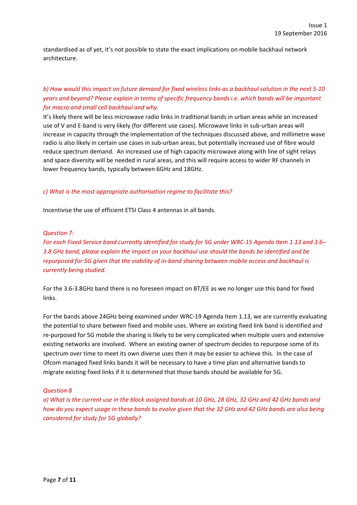standardised as of yet, it's not possible to state the exact implications on mobile backhaul network architecture.

# b) How would this impact on future demand for fixed wireless links as a backhaul solution in the next 5-10 *years and beyond? Please explain in terms of specific frequency bands i.e. which bands will be important for macro and small cell backhaul and why.*

It's likely there will be less microwave radio links in traditional bands in urban areas while an increased use of V and E‐band is very likely (for different use cases). Microwave links in sub‐urban areas will increase in capacity through the implementation of the techniques discussed above, and millimetre wave radio is also likely in certain use cases in sub-urban areas, but potentially increased use of fibre would reduce spectrum demand. An increased use of high capacity microwave along with line of sight relays and space diversity will be needed in rural areas, and this will require access to wider RF channels in lower frequency bands, typically between 6GHz and 18GHz.

#### *c) What is the most appropriate authorisation regime to facilitate this?*

Incentivise the use of efficient ETSI Class 4 antennas in all bands.

#### *Question 7:*

For each Fixed Service band currently identified for study for 5G under WRC-15 Agenda Item 1.13 and 3.6-*3.8 GHz band, please explain the impact on your backhaul use should the bands be identified and be* repurposed for 5G given that the viability of in-band sharing between mobile access and backhaul is *currently being studied.* 

For the 3.6‐3.8GHz band there is no foreseen impact on BT/EE as we no longer use this band for fixed links.

For the bands above 24GHz being examined under WRC‐19 Agenda Item 1.13, we are currently evaluating the potential to share between fixed and mobile uses. Where an existing fixed link band is identified and re-purposed for 5G mobile the sharing is likely to be very complicated when multiple users and extensive existing networks are involved. Where an existing owner of spectrum decides to repurpose some of its spectrum over time to meet its own diverse uses then it may be easier to achieve this. In the case of Ofcom managed fixed links bands it will be necessary to have a time plan and alternative bands to migrate existing fixed links if it is determined that those bands should be available for 5G.

#### *Question 8*

a) What is the current use in the block assigned bands at 10 GHz, 28 GHz, 32 GHz and 42 GHz bands and how do you expect usage in these bands to evolve given that the 32 GHz and 42 GHz bands are also being *considered for study for 5G globally?*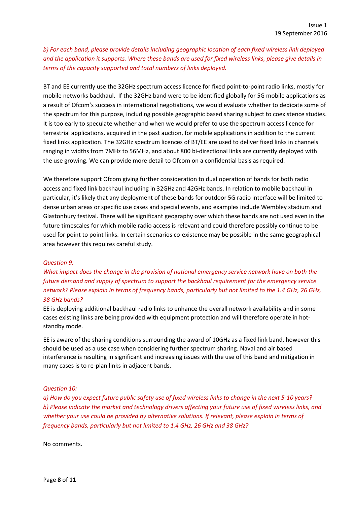*b) For each band, please provide details including geographic location of each fixed wireless link deployed* and the application it supports. Where these bands are used for fixed wireless links, please give details in *terms of the capacity supported and total numbers of links deployed.* 

BT and EE currently use the 32GHz spectrum access licence for fixed point-to-point radio links, mostly for mobile networks backhaul. If the 32GHz band were to be identified globally for 5G mobile applications as a result of Ofcom's success in international negotiations, we would evaluate whether to dedicate some of the spectrum for this purpose, including possible geographic based sharing subject to coexistence studies. It is too early to speculate whether and when we would prefer to use the spectrum access licence for terrestrial applications, acquired in the past auction, for mobile applications in addition to the current fixed links application. The 32GHz spectrum licences of BT/EE are used to deliver fixed links in channels ranging in widths from 7MHz to 56MHz, and about 800 bi‐directional links are currently deployed with the use growing. We can provide more detail to Ofcom on a confidential basis as required.

We therefore support Ofcom giving further consideration to dual operation of bands for both radio access and fixed link backhaul including in 32GHz and 42GHz bands. In relation to mobile backhaul in particular, it's likely that any deployment of these bands for outdoor 5G radio interface will be limited to dense urban areas or specific use cases and special events, and examples include Wembley stadium and Glastonbury festival. There will be significant geography over which these bands are not used even in the future timescales for which mobile radio access is relevant and could therefore possibly continue to be used for point to point links. In certain scenarios co-existence may be possible in the same geographical area however this requires careful study.

# *Question 9:*

*What impact does the change in the provision of national emergency service network have on both the future demand and supply of spectrum to support the backhaul requirement for the emergency service* network? Please explain in terms of frequency bands, particularly but not limited to the 1.4 GHz, 26 GHz, *38 GHz bands?* 

EE is deploying additional backhaul radio links to enhance the overall network availability and in some cases existing links are being provided with equipment protection and will therefore operate in hotstandby mode.

EE is aware of the sharing conditions surrounding the award of 10GHz as a fixed link band, however this should be used as a use case when considering further spectrum sharing. Naval and air based interference is resulting in significant and increasing issues with the use of this band and mitigation in many cases is to re‐plan links in adjacent bands.

# *Question 10:*

a) How do you expect future public safety use of fixed wireless links to change in the next 5-10 years? b) Please indicate the market and technology drivers affecting your future use of fixed wireless links, and *whether your use could be provided by alternative solutions. If relevant, please explain in terms of frequency bands, particularly but not limited to 1.4 GHz, 26 GHz and 38 GHz?* 

No comments.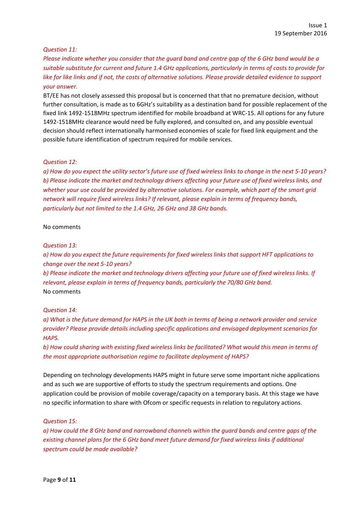#### *Question 11:*

Please indicate whether you consider that the quard band and centre gap of the 6 GHz band would be a suitable substitute for current and future 1.4 GHz applications, particularly in terms of costs to provide for like for like links and if not, the costs of alternative solutions. Please provide detailed evidence to support *your answer.* 

BT/EE has not closely assessed this proposal but is concerned that that no premature decision, without further consultation, is made as to 6GHz's suitability as a destination band for possible replacement of the fixed link 1492‐1518MHz spectrum identified for mobile broadband at WRC‐15. All options for any future 1492‐1518MHz clearance would need be fully explored, and consulted on, and any possible eventual decision should reflect internationally harmonised economies of scale for fixed link equipment and the possible future identification of spectrum required for mobile services.

#### *Question 12:*

a) How do you expect the utility sector's future use of fixed wireless links to change in the next 5-10 years? b) Please indicate the market and technology drivers affecting your future use of fixed wireless links, and *whether your use could be provided by alternative solutions. For example, which part of the smart grid network will require fixed wireless links? If relevant, please explain in terms of frequency bands, particularly but not limited to the 1.4 GHz, 26 GHz and 38 GHz bands.* 

#### No comments

#### *Question 13:*

*a) How do you expect the future requirements for fixed wireless links that support HFT applications to change over the next 5‐10 years?*  b) Please indicate the market and technology drivers affecting your future use of fixed wireless links. If *relevant, please explain in terms of frequency bands, particularly the 70/80 GHz band.*  No comments

#### *Question 14:*

a) What is the future demand for HAPS in the UK both in terms of being a network provider and service *provider? Please provide details including specific applications and envisaged deployment scenarios for*  $HAPS.$ 

b) How could sharing with existing fixed wireless links be facilitated? What would this mean in terms of *the most appropriate authorisation regime to facilitate deployment of HAPS?* 

Depending on technology developments HAPS might in future serve some important niche applications and as such we are supportive of efforts to study the spectrum requirements and options. One application could be provision of mobile coverage/capacity on a temporary basis. At this stage we have no specific information to share with Ofcom or specific requests in relation to regulatory actions.

#### *Question 15:*

a) How could the 8 GHz band and narrowband channels within the auard bands and centre aaps of the *existing channel plans for the 6 GHz band meet future demand for fixed wireless links if additional spectrum could be made available?*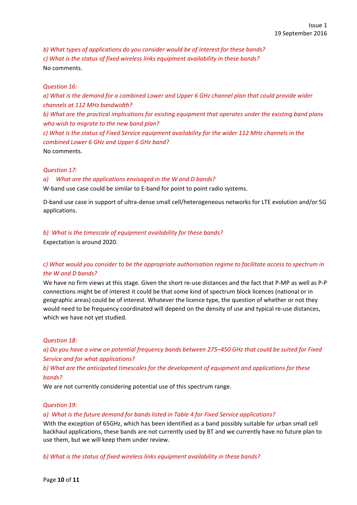*b) What types of applications do you consider would be of interest for these bands? c) What is the status of fixed wireless links equipment availability in these bands?*  No comments.

#### *Question 16:*

a) What is the demand for a combined Lower and Upper 6 GHz channel plan that could provide wider *channels at 112 MHz bandwidth? b) What are the practical implications for existing equipment that operates under the existing band plans who wish to migrate to the new band plan?*  c) What is the status of Fixed Service equipment availability for the wider 112 MHz channels in the *combined Lower 6 GHz and Upper 6 GHz band?*  No comments.

#### *Question 17:*

#### *a) What are the applications envisaged in the W and D bands?*

W-band use case could be similar to E-band for point to point radio systems.

D‐band use case in support of ultra‐dense small cell/heterogeneous networks for LTE evolution and/or 5G applications.

# *b) What is the timescale of equipment availability for these bands?*

Expectation is around 2020.

# *c) What would you consider to be the appropriate authorisation regime to facilitate access to spectrum in the W and D bands?*

We have no firm views at this stage. Given the short re-use distances and the fact that P-MP as well as P-P connections might be of interest it could be that some kind of spectrum block licences (national or in geographic areas) could be of interest. Whatever the licence type, the question of whether or not they would need to be frequency coordinated will depend on the density of use and typical re-use distances, which we have not yet studied.

# *Question 18:*

a) Do you have a view on potential frequency bands between 275-450 GHz that could be suited for Fixed *Service and for what applications?* 

# *b) What are the anticipated timescales for the development of equipment and applications for these bands?*

We are not currently considering potential use of this spectrum range.

#### *Question 19:*

#### *a) What is the future demand for bands listed in Table 4 for Fixed Service applications?*

With the exception of 65GHz, which has been identified as a band possibly suitable for urban small cell backhaul applications, these bands are not currently used by BT and we currently have no future plan to use them, but we will keep them under review.

*b) What is the status of fixed wireless links equipment availability in these bands?*